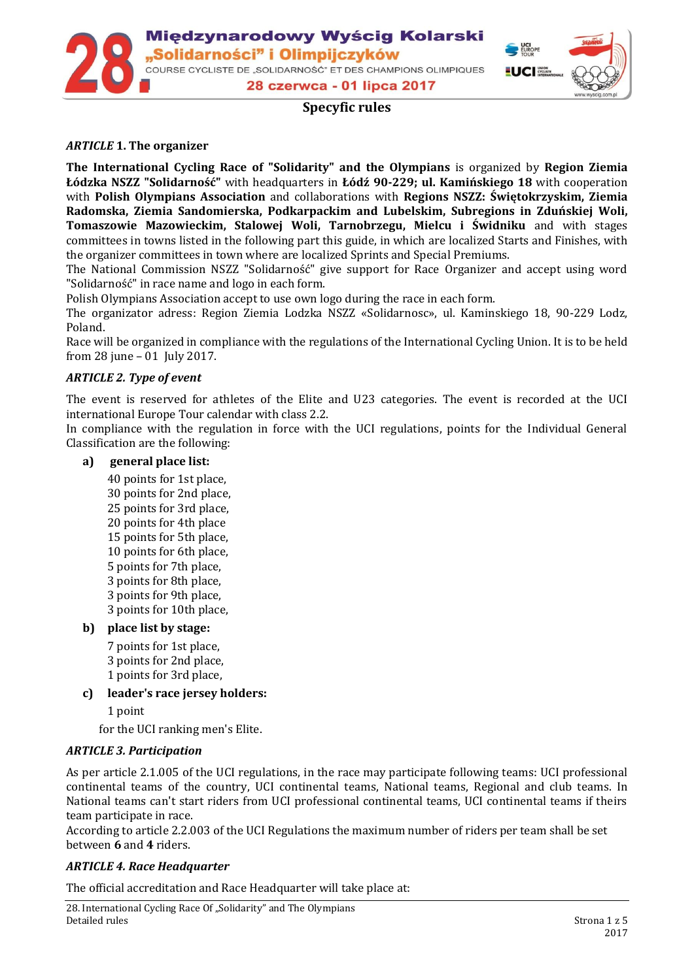Międzynarodowy Wyścig Kolarski Solidarności" i Olimpijczyków, COURSE CYCLISTE DE "SOLIDARNOŚĆ" ET DES CHAMPIONS OLIMPIQUES 28 czerwca - 01 lipca 2017



# **Specyfic rules**

## *ARTICLE* **1. The organizer**

**The International Cycling Race of "Solidarity" and the Olympians** is organized by **Region Ziemia Łódzka NSZZ "Solidarność"** with headquarters in **Łódź 90-229; ul. Kamińskiego 18** with cooperation with **Polish Olympians Association** and collaborations with **Regions NSZZ: Świętokrzyskim, Ziemia Radomska, Ziemia Sandomierska, Podkarpackim and Lubelskim, Subregions in Zduńskiej Woli, Tomaszowie Mazowieckim, Stalowej Woli, Tarnobrzegu, Mielcu i Świdniku** and with stages committees in towns listed in the following part this guide, in which are localized Starts and Finishes, with the organizer committees in town where are localized Sprints and Special Premiums.

The National Commission NSZZ "Solidarność" give support for Race Organizer and accept using word "Solidarność" in race name and logo in each form.

Polish Olympians Association accept to use own logo during the race in each form.

The organizator adress: Region Ziemia Lodzka NSZZ «Solidarnosc», ul. Kaminskiego 18, 90-229 Lodz, Poland.

Race will be organized in compliance with the regulations of the International Cycling Union. It is to be held from 28 june – 01 July 2017.

### *ARTICLE 2. Type of event*

The event is reserved for athletes of the Elite and U23 categories. The event is recorded at the UCI international Europe Tour calendar with class 2.2.

In compliance with the regulation in force with the UCI regulations, points for the Individual General Classification are the following:

#### **a) general place list:**

40 points for 1st place, 30 points for 2nd place, 25 points for 3rd place, 20 points for 4th place 15 points for 5th place, 10 points for 6th place, 5 points for 7th place, 3 points for 8th place, 3 points for 9th place, 3 points for 10th place,

### **b) place list by stage:**

7 points for 1st place, 3 points for 2nd place, 1 points for 3rd place,

**c) leader's race jersey holders:**

1 point

for the UCI ranking men's Elite.

### *ARTICLE 3. Participation*

As per article 2.1.005 of the UCI regulations, in the race may participate following teams: UCI professional continental teams of the country, UCI continental teams, National teams, Regional and club teams. In National teams can't start riders from UCI professional continental teams, UCI continental teams if theirs team participate in race.

According to article 2.2.003 of the UCI Regulations the maximum number of riders per team shall be set between **6** and **4** riders.

### *ARTICLE 4. Race Headquarter*

The official accreditation and Race Headquarter will take place at: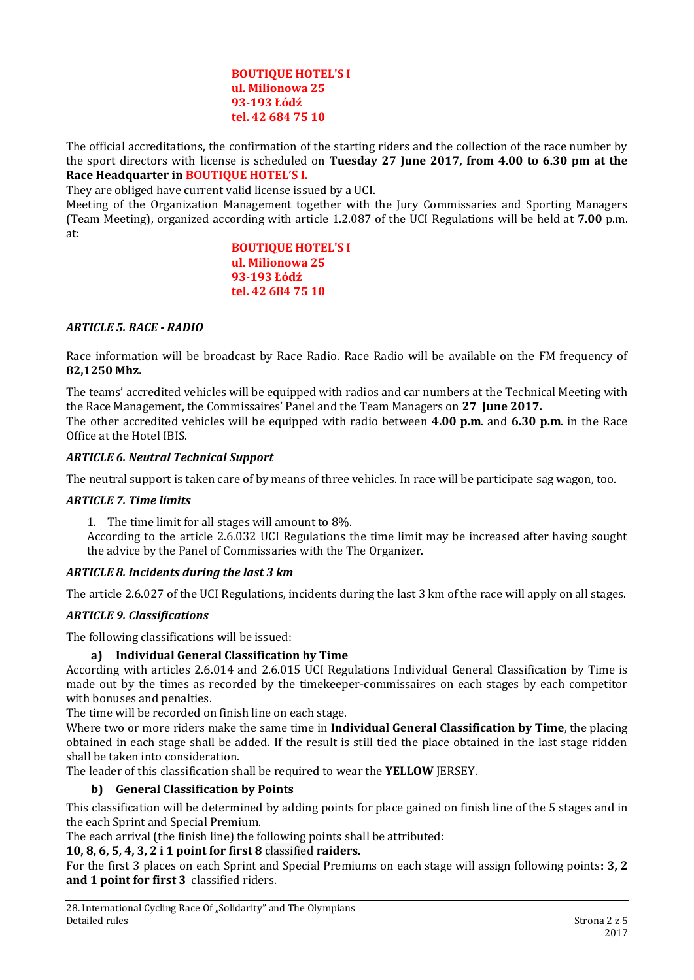#### **BOUTIQUE HOTEL'S I ul. Milionowa 25 93-193 Łódź tel. 42 684 75 10**

The official accreditations, the confirmation of the starting riders and the collection of the race number by the sport directors with license is scheduled on **Tuesday 27 June 2017, from 4.00 to 6.30 pm at the Race Headquarter in BOUTIQUE HOTEL'S I.**

They are obliged have current valid license issued by a UCI.

Meeting of the Organization Management together with the Jury Commissaries and Sporting Managers (Team Meeting), organized according with article 1.2.087 of the UCI Regulations will be held at **7.00** p.m. at:

> **BOUTIQUE HOTEL'S I ul. Milionowa 25 93-193 Łódź tel. 42 684 75 10**

### *ARTICLE 5. RACE - RADIO*

Race information will be broadcast by Race Radio. Race Radio will be available on the FM frequency of **82,1250 Mhz.**

The teams' accredited vehicles will be equipped with radios and car numbers at the Technical Meeting with the Race Management, the Commissaires' Panel and the Team Managers on **27 June 2017.** The other accredited vehicles will be equipped with radio between **4.00 p.m**. and **6.30 p.m**. in the Race Office at the Hotel IBIS.

#### *ARTICLE 6. Neutral Technical Support*

The neutral support is taken care of by means of three vehicles. In race will be participate sag wagon, too.

#### *ARTICLE 7. Time limits*

1. The time limit for all stages will amount to 8%.

According to the article 2.6.032 UCI Regulations the time limit may be increased after having sought the advice by the Panel of Commissaries with the The Organizer.

### *ARTICLE 8. Incidents during the last 3 km*

The article 2.6.027 of the UCI Regulations, incidents during the last 3 km of the race will apply on all stages.

### *ARTICLE 9. Classifications*

The following classifications will be issued:

### **a) Individual General Classification by Time**

According with articles 2.6.014 and 2.6.015 UCI Regulations Individual General Classification by Time is made out by the times as recorded by the timekeeper-commissaires on each stages by each competitor with bonuses and penalties.

The time will be recorded on finish line on each stage.

Where two or more riders make the same time in **Individual General Classification by Time**, the placing obtained in each stage shall be added. If the result is still tied the place obtained in the last stage ridden shall be taken into consideration.

The leader of this classification shall be required to wear the **YELLOW** JERSEY.

### **b) General Classification by Points**

This classification will be determined by adding points for place gained on finish line of the 5 stages and in the each Sprint and Special Premium.

The each arrival (the finish line) the following points shall be attributed:

## **10, 8, 6, 5, 4, 3, 2 i 1 point for first 8** classified **raiders.**

For the first 3 places on each Sprint and Special Premiums on each stage will assign following points**: 3, 2 and 1 point for first 3** classified riders.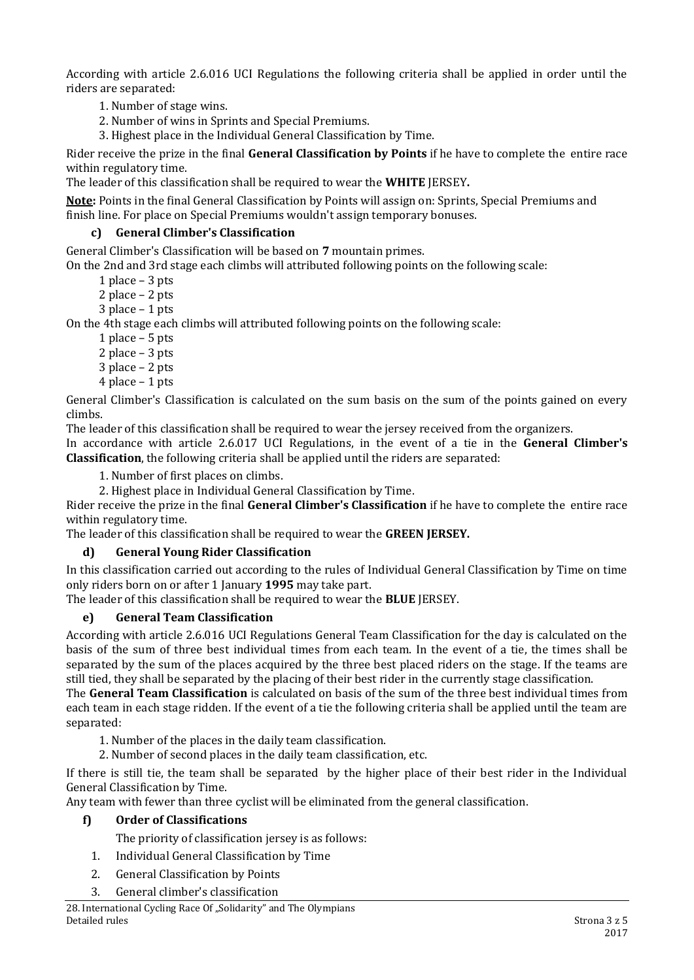According with article 2.6.016 UCI Regulations the following criteria shall be applied in order until the riders are separated:

1. Number of stage wins.

2. Number of wins in Sprints and Special Premiums.

3. Highest place in the Individual General Classification by Time.

Rider receive the prize in the final **General Classification by Points** if he have to complete the entire race within regulatory time.

The leader of this classification shall be required to wear the **WHITE** JERSEY**.**

**Note:** Points in the final General Classification by Points will assign on: Sprints, Special Premiums and finish line. For place on Special Premiums wouldn't assign temporary bonuses.

## **c) General Climber's Classification**

General Climber's Classification will be based on **7** mountain primes.

On the 2nd and 3rd stage each climbs will attributed following points on the following scale:

1 place – 3 pts

2 place – 2 pts

3 place – 1 pts

On the 4th stage each climbs will attributed following points on the following scale:

1 place – 5 pts

2 place – 3 pts

- 3 place 2 pts
- 4 place 1 pts

General Climber's Classification is calculated on the sum basis on the sum of the points gained on every climbs.

The leader of this classification shall be required to wear the jersey received from the organizers.

In accordance with article 2.6.017 UCI Regulations, in the event of a tie in the **General Climber's Classification**, the following criteria shall be applied until the riders are separated:

1. Number of first places on climbs.

2. Highest place in Individual General Classification by Time.

Rider receive the prize in the final **General Climber's Classification** if he have to complete the entire race within regulatory time.

The leader of this classification shall be required to wear the **GREEN JERSEY.**

### **d) General Young Rider Classification**

In this classification carried out according to the rules of Individual General Classification by Time on time only riders born on or after 1 January **1995** may take part.

The leader of this classification shall be required to wear the **BLUE** JERSEY.

### **e) General Team Classification**

According with article 2.6.016 UCI Regulations General Team Classification for the day is calculated on the basis of the sum of three best individual times from each team. In the event of a tie, the times shall be separated by the sum of the places acquired by the three best placed riders on the stage. If the teams are still tied, they shall be separated by the placing of their best rider in the currently stage classification.

The **General Team Classification** is calculated on basis of the sum of the three best individual times from each team in each stage ridden. If the event of a tie the following criteria shall be applied until the team are separated:

1. Number of the places in the daily team classification.

2. Number of second places in the daily team classification, etc.

If there is still tie, the team shall be separated by the higher place of their best rider in the Individual General Classification by Time.

Any team with fewer than three cyclist will be eliminated from the general classification.

### **f) Order of Classifications**

The priority of classification jersey is as follows:

- 1. Individual General Classification by Time
- 2. General Classification by Points
- 3. General climber's classification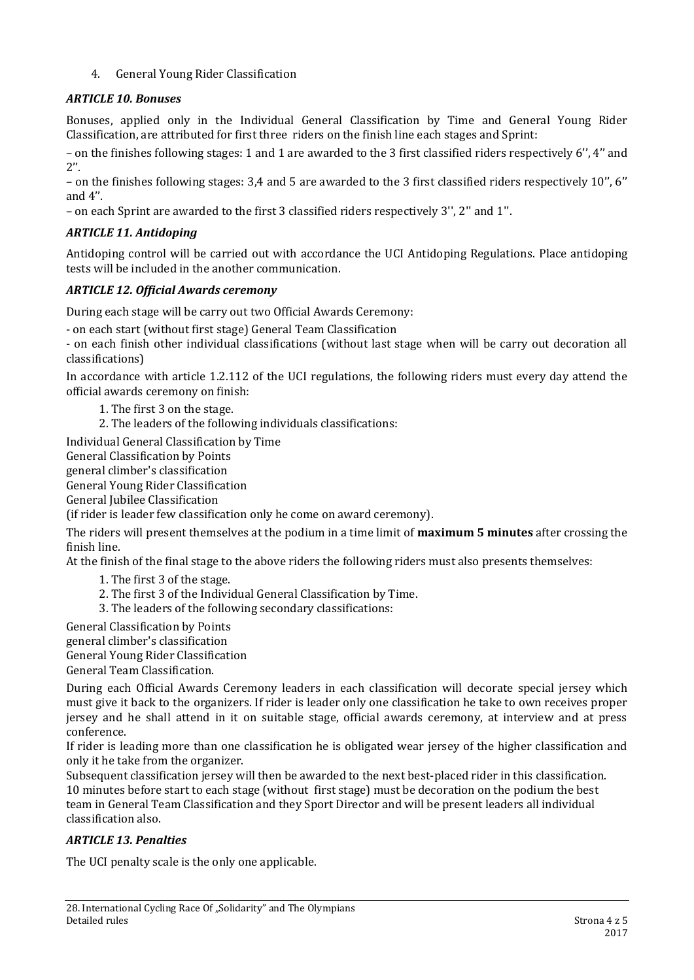4. General Young Rider Classification

# *ARTICLE 10. Bonuses*

Bonuses, applied only in the Individual General Classification by Time and General Young Rider Classification, are attributed for first three riders on the finish line each stages and Sprint:

– on the finishes following stages: 1 and 1 are awarded to the 3 first classified riders respectively 6'', 4'' and  $2''$ .

– on the finishes following stages: 3,4 and 5 are awarded to the 3 first classified riders respectively 10'', 6'' and 4''.

– on each Sprint are awarded to the first 3 classified riders respectively 3'', 2'' and 1''.

# *ARTICLE 11. Antidoping*

Antidoping control will be carried out with accordance the UCI Antidoping Regulations. Place antidoping tests will be included in the another communication.

# *ARTICLE 12. Official Awards ceremony*

During each stage will be carry out two Official Awards Ceremony:

- on each start (without first stage) General Team Classification

- on each finish other individual classifications (without last stage when will be carry out decoration all classifications)

In accordance with article 1.2.112 of the UCI regulations, the following riders must every day attend the official awards ceremony on finish:

1. The first 3 on the stage.

2. The leaders of the following individuals classifications:

Individual General Classification by Time

General Classification by Points

general climber's classification

General Young Rider Classification

General Jubilee Classification

(if rider is leader few classification only he come on award ceremony).

The riders will present themselves at the podium in a time limit of **maximum 5 minutes** after crossing the finish line.

At the finish of the final stage to the above riders the following riders must also presents themselves:

- 1. The first 3 of the stage.
- 2. The first 3 of the Individual General Classification by Time.
- 3. The leaders of the following secondary classifications:

General Classification by Points

general climber's classification

General Young Rider Classification

General Team Classification.

During each Official Awards Ceremony leaders in each classification will decorate special jersey which must give it back to the organizers. If rider is leader only one classification he take to own receives proper jersey and he shall attend in it on suitable stage, official awards ceremony, at interview and at press conference.

If rider is leading more than one classification he is obligated wear jersey of the higher classification and only it he take from the organizer.

Subsequent classification jersey will then be awarded to the next best-placed rider in this classification. 10 minutes before start to each stage (without first stage) must be decoration on the podium the best team in General Team Classification and they Sport Director and will be present leaders all individual classification also.

# *ARTICLE 13. Penalties*

The UCI penalty scale is the only one applicable.